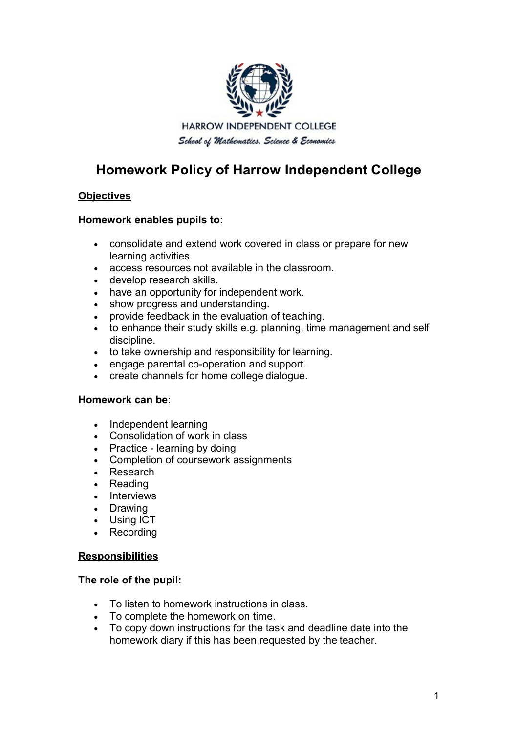

# **Homework Policy of Harrow Independent College**

### **Objectives**

### **Homework enables pupils to:**

- consolidate and extend work covered in class or prepare for new learning activities.
- access resources not available in the classroom.
- develop research skills.
- have an opportunity for independent work.
- show progress and understanding.
- provide feedback in the evaluation of teaching.
- to enhance their study skills e.g. planning, time management and self discipline.
- to take ownership and responsibility for learning.
- engage parental co-operation and support.
- create channels for home college dialogue.

### **Homework can be:**

- Independent learning
- Consolidation of work in class
- Practice learning by doing
- Completion of coursework assignments
- Research
- Reading
- Interviews
- Drawing
- Using ICT
- **Recording**

### **Responsibilities**

### **The role of the pupil:**

- To listen to homework instructions in class.
- To complete the homework on time.
- To copy down instructions for the task and deadline date into the homework diary if this has been requested by the teacher.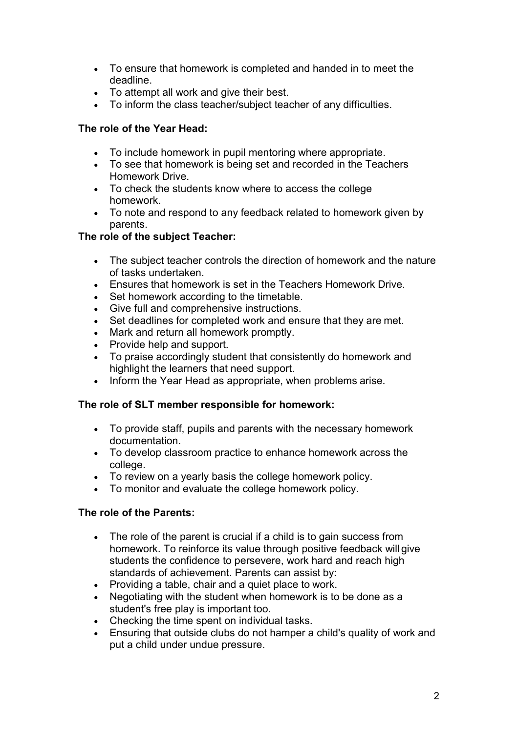- To ensure that homework is completed and handed in to meet the deadline.
- To attempt all work and give their best.
- To inform the class teacher/subject teacher of any difficulties.

### **The role of the Year Head:**

- To include homework in pupil mentoring where appropriate.
- To see that homework is being set and recorded in the Teachers Homework Drive.
- To check the students know where to access the college homework.
- To note and respond to any feedback related to homework given by parents.

### **The role of the subject Teacher:**

- The subject teacher controls the direction of homework and the nature of tasks undertaken.
- Ensures that homework is set in the Teachers Homework Drive.
- Set homework according to the timetable.
- Give full and comprehensive instructions.
- Set deadlines for completed work and ensure that they are met.
- Mark and return all homework promptly.
- Provide help and support.
- To praise accordingly student that consistently do homework and highlight the learners that need support.
- Inform the Year Head as appropriate, when problems arise.

## **The role of SLT member responsible for homework:**

- To provide staff, pupils and parents with the necessary homework documentation.
- To develop classroom practice to enhance homework across the college.
- To review on a yearly basis the college homework policy.
- To monitor and evaluate the college homework policy.

## **The role of the Parents:**

- The role of the parent is crucial if a child is to gain success from homework. To reinforce its value through positive feedback will give students the confidence to persevere, work hard and reach high standards of achievement. Parents can assist by:
- Providing a table, chair and a quiet place to work.
- Negotiating with the student when homework is to be done as a student's free play is important too.
- Checking the time spent on individual tasks.
- Ensuring that outside clubs do not hamper a child's quality of work and put a child under undue pressure.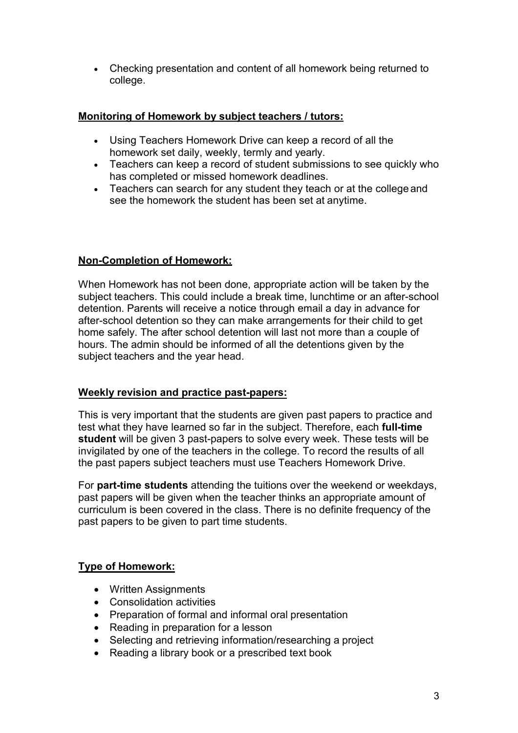• Checking presentation and content of all homework being returned to college.

### **Monitoring of Homework by subject teachers / tutors:**

- Using Teachers Homework Drive can keep a record of all the homework set daily, weekly, termly and yearly.
- Teachers can keep a record of student submissions to see quickly who has completed or missed homework deadlines.
- Teachers can search for any student they teach or at the college and see the homework the student has been set at anytime.

### **Non-Completion of Homework:**

When Homework has not been done, appropriate action will be taken by the subject teachers. This could include a break time, lunchtime or an after-school detention. Parents will receive a notice through email a day in advance for after-school detention so they can make arrangements for their child to get home safely. The after school detention will last not more than a couple of hours. The admin should be informed of all the detentions given by the subject teachers and the year head.

### **Weekly revision and practice past-papers:**

This is very important that the students are given past papers to practice and test what they have learned so far in the subject. Therefore, each **full-time student** will be given 3 past-papers to solve every week. These tests will be invigilated by one of the teachers in the college. To record the results of all the past papers subject teachers must use Teachers Homework Drive.

For **part-time students** attending the tuitions over the weekend or weekdays, past papers will be given when the teacher thinks an appropriate amount of curriculum is been covered in the class. There is no definite frequency of the past papers to be given to part time students.

### **Type of Homework:**

- Written Assignments
- Consolidation activities
- Preparation of formal and informal oral presentation
- Reading in preparation for a lesson
- Selecting and retrieving information/researching a project
- Reading a library book or a prescribed text book